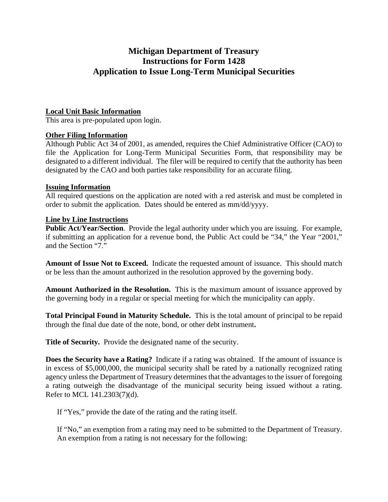# **Michigan Department of Treasury Instructions for Form 1428 Application to Issue Long-Term Municipal Securities**

## **Local Unit Basic Information**

This area is pre-populated upon login.

## **Other Filing Information**

Although Public Act 34 of 2001, as amended, requires the Chief Administrative Officer (CAO) to file the Application for Long-Term Municipal Securities Form, that responsibility may be designated to a different individual. The filer will be required to certify that the authority has been designated by the CAO and both parties take responsibility for an accurate filing.

#### **Issuing Information**

All required questions on the application are noted with a red asterisk and must be completed in order to submit the application. Dates should be entered as mm/dd/yyyy.

## **Line by Line Instructions**

**Public Act/Year/Section.** Provide the legal authority under which you are issuing. For example, if submitting an application for a revenue bond, the Public Act could be "34," the Year "2001," and the Section "7."

**Amount of Issue Not to Exceed.** Indicate the requested amount of issuance. This should match or be less than the amount authorized in the resolution approved by the governing body.

**Amount Authorized in the Resolution.** This is the maximum amount of issuance approved by the governing body in a regular or special meeting for which the municipality can apply.

**Total Principal Found in Maturity Schedule.** This is the total amount of principal to be repaid through the final due date of the note, bond, or other debt instrument**.** 

**Title of Security.** Provide the designated name of the security.

**Does the Security have a Rating?** Indicate if a rating was obtained. If the amount of issuance is in excess of \$5,000,000, the municipal security shall be rated by a nationally recognized rating agency unless the Department of Treasury determines that the advantages to the issuer of foregoing a rating outweigh the disadvantage of the municipal security being issued without a rating. Refer to MCL 141.2303(7)(d).

If "Yes," provide the date of the rating and the rating itself.

If "No," an exemption from a rating may need to be submitted to the Department of Treasury. An exemption from a rating is not necessary for the following: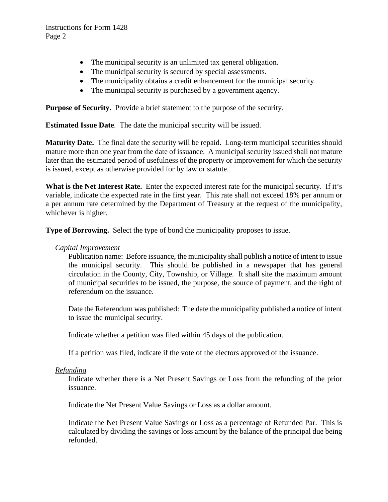- The municipal security is an unlimited tax general obligation.
- The municipal security is secured by special assessments.
- The municipality obtains a credit enhancement for the municipal security.
- The municipal security is purchased by a government agency.

**Purpose of Security.** Provide a brief statement to the purpose of the security.

**Estimated Issue Date**. The date the municipal security will be issued.

**Maturity Date.** The final date the security will be repaid. Long-term municipal securities should mature more than one year from the date of issuance. A municipal security issued shall not mature later than the estimated period of usefulness of the property or improvement for which the security is issued, except as otherwise provided for by law or statute.

**What is the Net Interest Rate.** Enter the expected interest rate for the municipal security. If it's variable, indicate the expected rate in the first year. This rate shall not exceed 18% per annum or a per annum rate determined by the Department of Treasury at the request of the municipality, whichever is higher.

**Type of Borrowing.** Select the type of bond the municipality proposes to issue.

#### *Capital Improvement*

Publication name: Before issuance, the municipality shall publish a notice of intent to issue the municipal security. This should be published in a newspaper that has general circulation in the County, City, Township, or Village. It shall site the maximum amount of municipal securities to be issued, the purpose, the source of payment, and the right of referendum on the issuance.

Date the Referendum was published: The date the municipality published a notice of intent to issue the municipal security.

Indicate whether a petition was filed within 45 days of the publication.

If a petition was filed, indicate if the vote of the electors approved of the issuance.

#### *Refunding*

Indicate whether there is a Net Present Savings or Loss from the refunding of the prior issuance.

Indicate the Net Present Value Savings or Loss as a dollar amount.

Indicate the Net Present Value Savings or Loss as a percentage of Refunded Par. This is calculated by dividing the savings or loss amount by the balance of the principal due being refunded.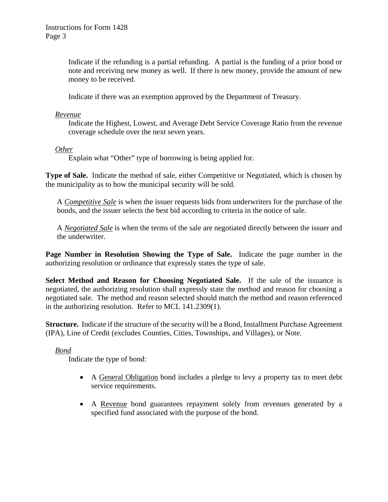Indicate if the refunding is a partial refunding. A partial is the funding of a prior bond or note and receiving new money as well. If there is new money, provide the amount of new money to be received.

Indicate if there was an exemption approved by the Department of Treasury.

#### *Revenue*

Indicate the Highest, Lowest, and Average Debt Service Coverage Ratio from the revenue coverage schedule over the next seven years.

#### *Other*

Explain what "Other" type of borrowing is being applied for.

**Type of Sale.** Indicate the method of sale, either Competitive or Negotiated, which is chosen by the municipality as to how the municipal security will be sold.

A *Competitive Sale* is when the issuer requests bids from underwriters for the purchase of the bonds, and the issuer selects the best bid according to criteria in the notice of sale.

A *Negotiated Sale* is when the terms of the sale are negotiated directly between the issuer and the underwriter.

**Page Number in Resolution Showing the Type of Sale.** Indicate the page number in the authorizing resolution or ordinance that expressly states the type of sale.

**Select Method and Reason for Choosing Negotiated Sale.** If the sale of the issuance is negotiated, the authorizing resolution shall expressly state the method and reason for choosing a negotiated sale. The method and reason selected should match the method and reason referenced in the authorizing resolution. Refer to MCL 141.2309(1).

**Structure.** Indicate if the structure of the security will be a Bond, Installment Purchase Agreement (IPA), Line of Credit (excludes Counties, Cities, Townships, and Villages), or Note.

# *Bond*

Indicate the type of bond:

- A General Obligation bond includes a pledge to levy a property tax to meet debt service requirements.
- A Revenue bond guarantees repayment solely from revenues generated by a specified fund associated with the purpose of the bond.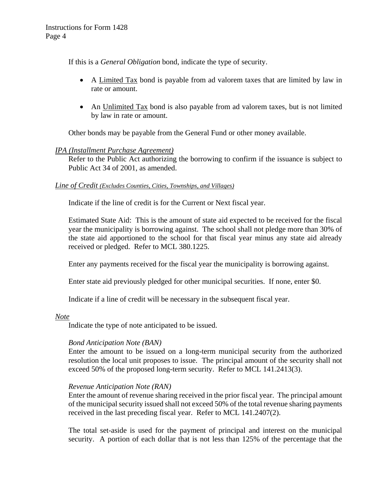If this is a *General Obligation* bond, indicate the type of security.

- A Limited Tax bond is payable from ad valorem taxes that are limited by law in rate or amount.
- An Unlimited Tax bond is also payable from ad valorem taxes, but is not limited by law in rate or amount.

Other bonds may be payable from the General Fund or other money available.

#### *IPA (Installment Purchase Agreement)*

Refer to the Public Act authorizing the borrowing to confirm if the issuance is subject to Public Act 34 of 2001, as amended.

#### *Line of Credit (Excludes Counties, Cities, Townships, and Villages)*

Indicate if the line of credit is for the Current or Next fiscal year.

Estimated State Aid: This is the amount of state aid expected to be received for the fiscal year the municipality is borrowing against. The school shall not pledge more than 30% of the state aid apportioned to the school for that fiscal year minus any state aid already received or pledged. Refer to MCL 380.1225.

Enter any payments received for the fiscal year the municipality is borrowing against.

Enter state aid previously pledged for other municipal securities. If none, enter \$0.

Indicate if a line of credit will be necessary in the subsequent fiscal year.

#### *Note*

Indicate the type of note anticipated to be issued.

#### *Bond Anticipation Note (BAN)*

Enter the amount to be issued on a long-term municipal security from the authorized resolution the local unit proposes to issue. The principal amount of the security shall not exceed 50% of the proposed long-term security. Refer to MCL 141.2413(3).

#### *Revenue Anticipation Note (RAN)*

Enter the amount of revenue sharing received in the prior fiscal year. The principal amount of the municipal security issued shall not exceed 50% of the total revenue sharing payments received in the last preceding fiscal year. Refer to MCL 141.2407(2).

The total set-aside is used for the payment of principal and interest on the municipal security. A portion of each dollar that is not less than 125% of the percentage that the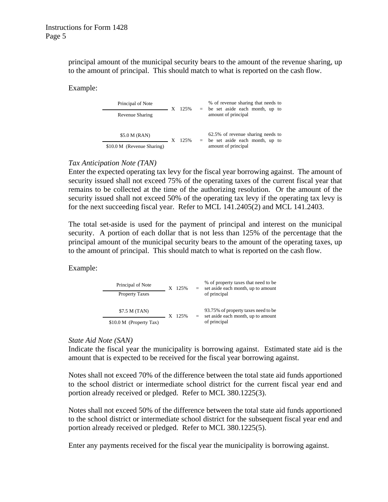principal amount of the municipal security bears to the amount of the revenue sharing, up to the amount of principal. This should match to what is reported on the cash flow.

Example:

| Principal of Note          | $\overline{\mathbf{X}}$ | 125% | % of revenue sharing that needs to<br>$=$ be set aside each month, up to<br>amount of principal |
|----------------------------|-------------------------|------|-------------------------------------------------------------------------------------------------|
| Revenue Sharing            |                         |      |                                                                                                 |
|                            |                         |      |                                                                                                 |
| \$5.0 M (RAN)              |                         | 125% | 62.5% of revenue sharing needs to<br>$=$ be set aside each month, up to                         |
| \$10.0 M (Revenue Sharing) |                         |      | amount of principal                                                                             |

#### *Tax Anticipation Note (TAN)*

Enter the expected operating tax levy for the fiscal year borrowing against. The amount of security issued shall not exceed 75% of the operating taxes of the current fiscal year that remains to be collected at the time of the authorizing resolution. Or the amount of the security issued shall not exceed 50% of the operating tax levy if the operating tax levy is for the next succeeding fiscal year. Refer to MCL 141.2405(2) and MCL 141.2403.

The total set-aside is used for the payment of principal and interest on the municipal security. A portion of each dollar that is not less than 125% of the percentage that the principal amount of the municipal security bears to the amount of the operating taxes, up to the amount of principal. This should match to what is reported on the cash flow.

Example:

| Principal of Note       |  | X 125% | $=$ | % of property taxes that need to be<br>set aside each month, up to amount                 |
|-------------------------|--|--------|-----|-------------------------------------------------------------------------------------------|
| <b>Property Taxes</b>   |  |        |     | of principal                                                                              |
| \$7.5 M (TAN)           |  | 12.5%  | $=$ | 93.75% of property taxes need to be<br>set aside each month, up to amount<br>of principal |
| \$10.0 M (Property Tax) |  |        |     |                                                                                           |

# *State Aid Note (SAN)*

Indicate the fiscal year the municipality is borrowing against. Estimated state aid is the amount that is expected to be received for the fiscal year borrowing against.

Notes shall not exceed 70% of the difference between the total state aid funds apportioned to the school district or intermediate school district for the current fiscal year end and portion already received or pledged. Refer to MCL 380.1225(3).

Notes shall not exceed 50% of the difference between the total state aid funds apportioned to the school district or intermediate school district for the subsequent fiscal year end and portion already received or pledged. Refer to MCL 380.1225(5).

Enter any payments received for the fiscal year the municipality is borrowing against.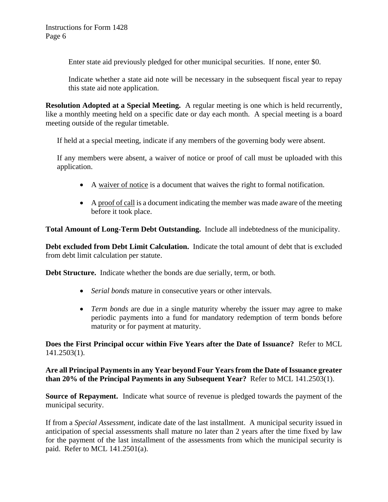Enter state aid previously pledged for other municipal securities. If none, enter \$0.

Indicate whether a state aid note will be necessary in the subsequent fiscal year to repay this state aid note application.

**Resolution Adopted at a Special Meeting.** A regular meeting is one which is held recurrently, like a monthly meeting held on a specific date or day each month. A special meeting is a board meeting outside of the regular timetable.

If held at a special meeting, indicate if any members of the governing body were absent.

If any members were absent, a waiver of notice or proof of call must be uploaded with this application.

- A waiver of notice is a document that waives the right to formal notification.
- A proof of call is a document indicating the member was made aware of the meeting before it took place.

**Total Amount of Long-Term Debt Outstanding.** Include all indebtedness of the municipality.

**Debt excluded from Debt Limit Calculation.** Indicate the total amount of debt that is excluded from debt limit calculation per statute.

**Debt Structure.** Indicate whether the bonds are due serially, term, or both.

- *Serial bonds* mature in consecutive years or other intervals.
- *Term bonds* are due in a single maturity whereby the issuer may agree to make periodic payments into a fund for mandatory redemption of term bonds before maturity or for payment at maturity.

**Does the First Principal occur within Five Years after the Date of Issuance?** Refer to MCL 141.2503(1).

**Are all Principal Payments in any Year beyond Four Years from the Date of Issuance greater than 20% of the Principal Payments in any Subsequent Year?** Refer to MCL 141.2503(1).

**Source of Repayment.** Indicate what source of revenue is pledged towards the payment of the municipal security.

If from a *Special Assessment*, indicate date of the last installment. A municipal security issued in anticipation of special assessments shall mature no later than 2 years after the time fixed by law for the payment of the last installment of the assessments from which the municipal security is paid. Refer to MCL 141.2501(a).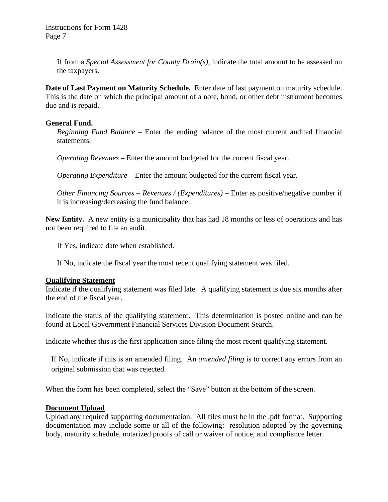If from a *Special Assessment for County Drain(s)*, indicate the total amount to be assessed on the taxpayers.

**Date of Last Payment on Maturity Schedule.** Enter date of last payment on maturity schedule. This is the date on which the principal amount of a note, bond, or other debt instrument becomes due and is repaid.

#### **General Fund.**

*Beginning Fund Balance* – Enter the ending balance of the most current audited financial statements.

*Operating Revenues* – Enter the amount budgeted for the current fiscal year.

*Operating Expenditure* – Enter the amount budgeted for the current fiscal year.

*Other Financing Sources* – *Revenues / (Expenditures)* – Enter as positive/negative number if it is increasing/decreasing the fund balance.

**New Entity.** A new entity is a municipality that has had 18 months or less of operations and has not been required to file an audit.

If Yes, indicate date when established.

If No, indicate the fiscal year the most recent qualifying statement was filed.

# **Qualifying Statement**

Indicate if the qualifying statement was filed late. A qualifying statement is due six months after the end of the fiscal year.

Indicate the status of the qualifying statement. This determination is posted online and can be found at [Local Government Financial Services Division Document Search.](https://treas-secure.state.mi.us/LAFDocSearch/)

Indicate whether this is the first application since filing the most recent qualifying statement.

If No, indicate if this is an amended filing. An *amended filing* is to correct any errors from an original submission that was rejected.

When the form has been completed, select the "Save" button at the bottom of the screen.

# **Document Upload**

Upload any required supporting documentation. All files must be in the .pdf format. Supporting documentation may include some or all of the following: resolution adopted by the governing body, maturity schedule, notarized proofs of call or waiver of notice, and compliance letter.